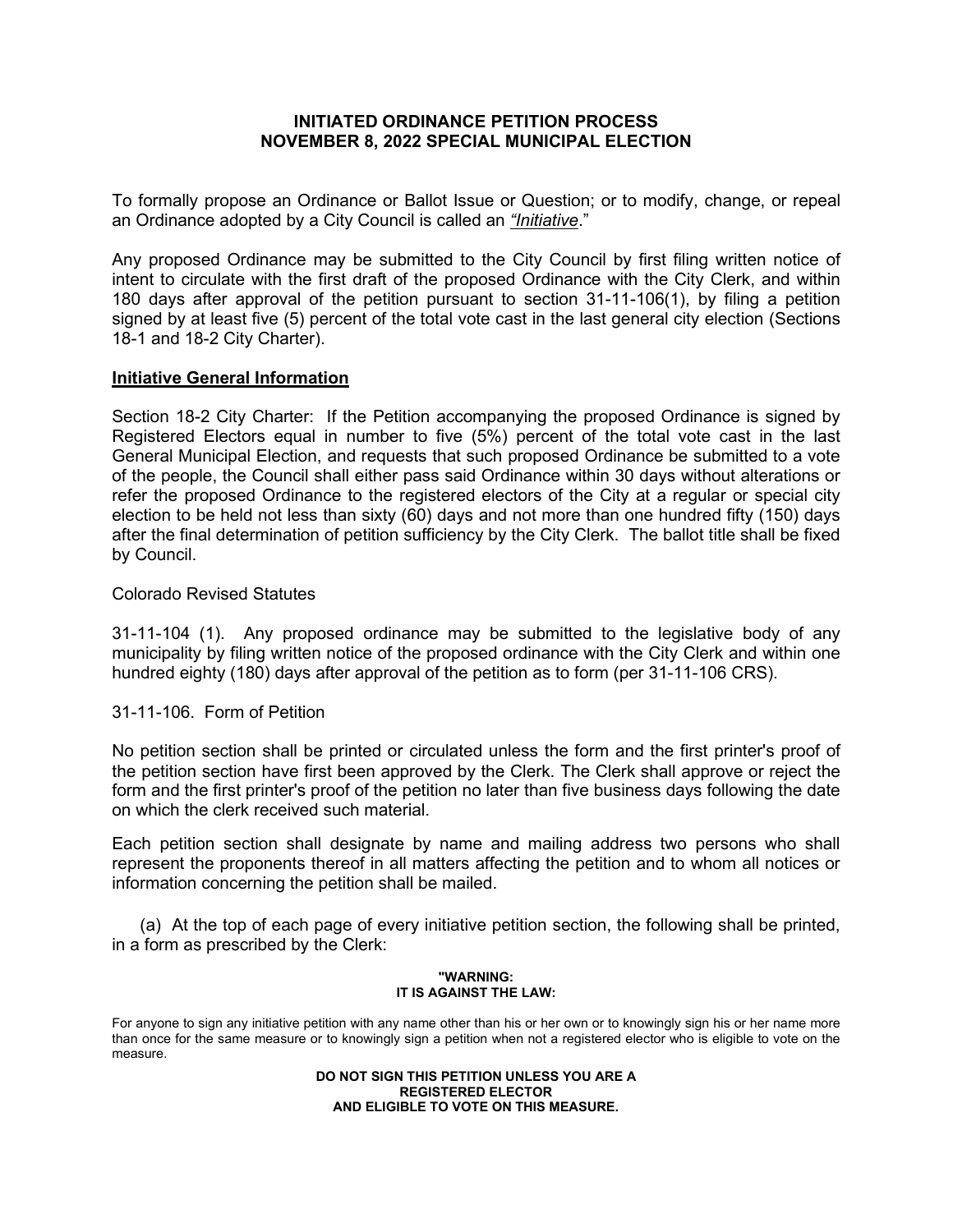## **INITIATED ORDINANCE PETITION PROCESS NOVEMBER 8, 2022 SPECIAL MUNICIPAL ELECTION**

To formally propose an Ordinance or Ballot Issue or Question; or to modify, change, or repeal an Ordinance adopted by a City Council is called an *"Initiative*."

Any proposed Ordinance may be submitted to the City Council by first filing written notice of intent to circulate with the first draft of the proposed Ordinance with the City Clerk, and within 180 days after approval of the petition pursuant to section 31-11-106(1), by filing a petition signed by at least five (5) percent of the total vote cast in the last general city election (Sections 18-1 and 18-2 City Charter).

## **Initiative General Information**

Section 18-2 City Charter: If the Petition accompanying the proposed Ordinance is signed by Registered Electors equal in number to five (5%) percent of the total vote cast in the last General Municipal Election, and requests that such proposed Ordinance be submitted to a vote of the people, the Council shall either pass said Ordinance within 30 days without alterations or refer the proposed Ordinance to the registered electors of the City at a regular or special city election to be held not less than sixty (60) days and not more than one hundred fifty (150) days after the final determination of petition sufficiency by the City Clerk. The ballot title shall be fixed by Council.

## Colorado Revised Statutes

31-11-104 (1). Any proposed ordinance may be submitted to the legislative body of any municipality by filing written notice of the proposed ordinance with the City Clerk and within one hundred eighty (180) days after approval of the petition as to form (per 31-11-106 CRS).

## 31-11-106. Form of Petition

No petition section shall be printed or circulated unless the form and the first printer's proof of the petition section have first been approved by the Clerk. The Clerk shall approve or reject the form and the first printer's proof of the petition no later than five business days following the date on which the clerk received such material.

Each petition section shall designate by name and mailing address two persons who shall represent the proponents thereof in all matters affecting the petition and to whom all notices or information concerning the petition shall be mailed.

(a) At the top of each page of every initiative petition section, the following shall be printed, in a form as prescribed by the Clerk:

#### **"WARNING: IT IS AGAINST THE LAW:**

For anyone to sign any initiative petition with any name other than his or her own or to knowingly sign his or her name more than once for the same measure or to knowingly sign a petition when not a registered elector who is eligible to vote on the measure.

> **DO NOT SIGN THIS PETITION UNLESS YOU ARE A REGISTERED ELECTOR AND ELIGIBLE TO VOTE ON THIS MEASURE.**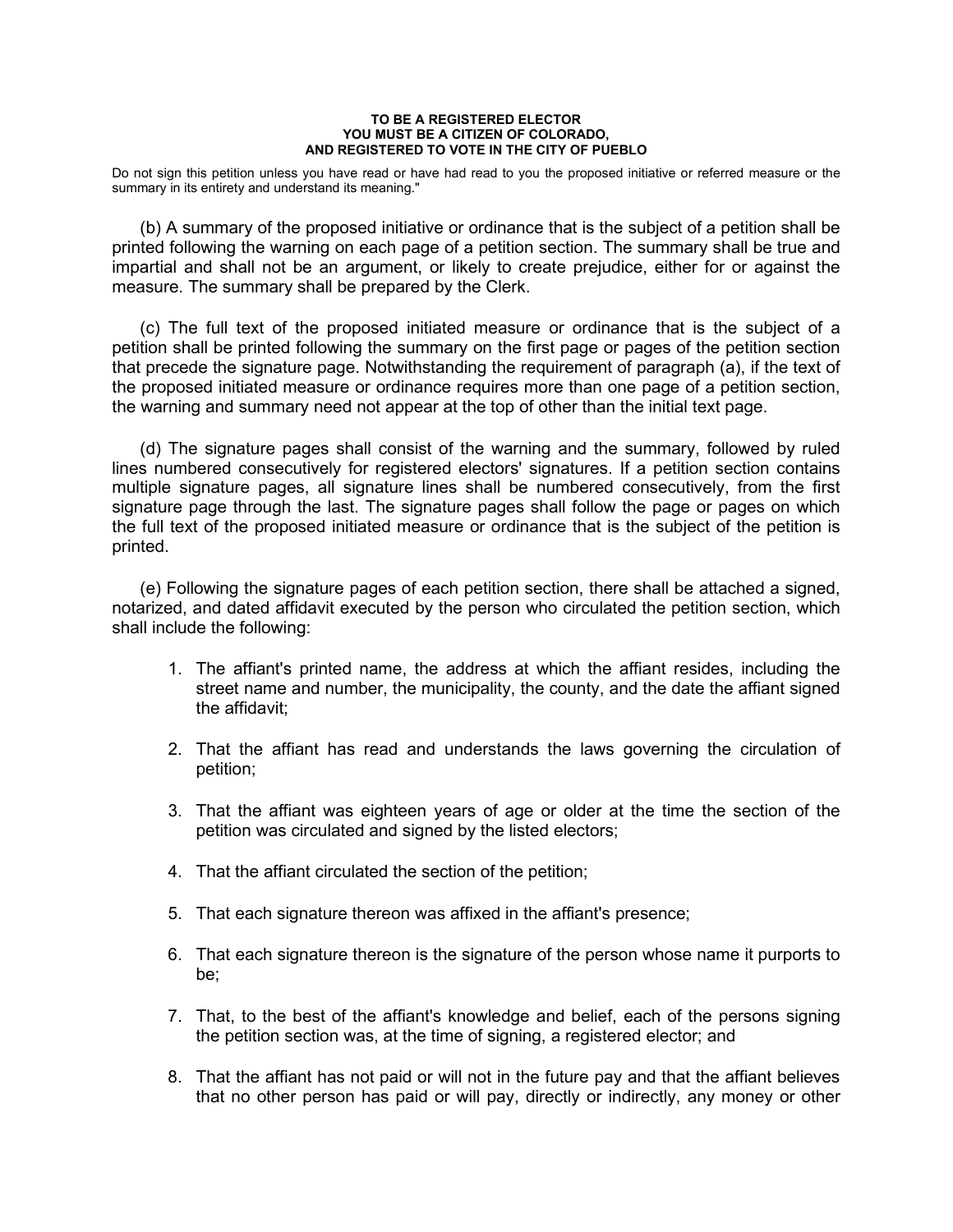#### **TO BE A REGISTERED ELECTOR YOU MUST BE A CITIZEN OF COLORADO, AND REGISTERED TO VOTE IN THE CITY OF PUEBLO**

Do not sign this petition unless you have read or have had read to you the proposed initiative or referred measure or the summary in its entirety and understand its meaning."

(b) A summary of the proposed initiative or ordinance that is the subject of a petition shall be printed following the warning on each page of a petition section. The summary shall be true and impartial and shall not be an argument, or likely to create prejudice, either for or against the measure. The summary shall be prepared by the Clerk.

(c) The full text of the proposed initiated measure or ordinance that is the subject of a petition shall be printed following the summary on the first page or pages of the petition section that precede the signature page. Notwithstanding the requirement of paragraph (a), if the text of the proposed initiated measure or ordinance requires more than one page of a petition section, the warning and summary need not appear at the top of other than the initial text page.

(d) The signature pages shall consist of the warning and the summary, followed by ruled lines numbered consecutively for registered electors' signatures. If a petition section contains multiple signature pages, all signature lines shall be numbered consecutively, from the first signature page through the last. The signature pages shall follow the page or pages on which the full text of the proposed initiated measure or ordinance that is the subject of the petition is printed.

(e) Following the signature pages of each petition section, there shall be attached a signed, notarized, and dated affidavit executed by the person who circulated the petition section, which shall include the following:

- 1. The affiant's printed name, the address at which the affiant resides, including the street name and number, the municipality, the county, and the date the affiant signed the affidavit;
- 2. That the affiant has read and understands the laws governing the circulation of petition;
- 3. That the affiant was eighteen years of age or older at the time the section of the petition was circulated and signed by the listed electors;
- 4. That the affiant circulated the section of the petition;
- 5. That each signature thereon was affixed in the affiant's presence;
- 6. That each signature thereon is the signature of the person whose name it purports to be;
- 7. That, to the best of the affiant's knowledge and belief, each of the persons signing the petition section was, at the time of signing, a registered elector; and
- 8. That the affiant has not paid or will not in the future pay and that the affiant believes that no other person has paid or will pay, directly or indirectly, any money or other